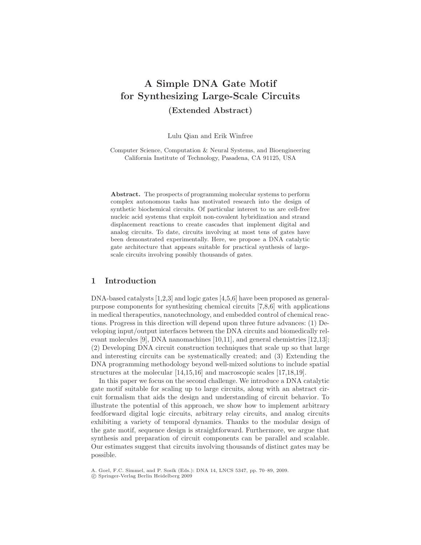# A Simple DNA Gate Motif for Synthesizing Large-Scale Circuits (Extended Abstract)

Lulu Qian and Erik Winfree

Computer Science, Computation & Neural Systems, and Bioengineering California Institute of Technology, Pasadena, CA 91125, USA

Abstract. The prospects of programming molecular systems to perform complex autonomous tasks has motivated research into the design of synthetic biochemical circuits. Of particular interest to us are cell-free nucleic acid systems that exploit non-covalent hybridization and strand displacement reactions to create cascades that implement digital and analog circuits. To date, circuits involving at most tens of gates have been demonstrated experimentally. Here, we propose a DNA catalytic gate architecture that appears suitable for practical synthesis of largescale circuits involving possibly thousands of gates.

#### 1 Introduction

DNA-based catalysts [1,2,3] and logic gates [4,5,6] have been proposed as generalpurpose components for synthesizing chemical circuits [7,8,6] with applications in medical therapeutics, nanotechnology, and embedded control of chemical reactions. Progress in this direction will depend upon three future advances: (1) Developing input/output interfaces between the DNA circuits and biomedically relevant molecules [9], DNA nanomachines  $[10,11]$ , and general chemistries  $[12,13]$ ; (2) Developing DNA circuit construction techniques that scale up so that large and interesting circuits can be systematically created; and (3) Extending the DNA programming methodology beyond well-mixed solutions to include spatial structures at the molecular [14,15,16] and macroscopic scales [17,18,19].

In this paper we focus on the second challenge. We introduce a DNA catalytic gate motif suitable for scaling up to large circuits, along with an abstract circuit formalism that aids the design and understanding of circuit behavior. To illustrate the potential of this approach, we show how to implement arbitrary feedforward digital logic circuits, arbitrary relay circuits, and analog circuits exhibiting a variety of temporal dynamics. Thanks to the modular design of the gate motif, sequence design is straightforward. Furthermore, we argue that synthesis and preparation of circuit components can be parallel and scalable. Our estimates suggest that circuits involving thousands of distinct gates may be possible.

A. Goel, F.C. Simmel, and P. Sosík (Eds.): DNA 14, LNCS 5347, pp. 70-89, 2009.

<sup>-</sup>c Springer-Verlag Berlin Heidelberg 2009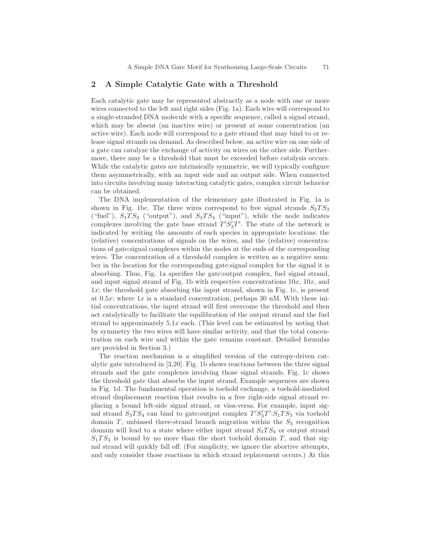## 2 A Simple Catalytic Gate with a Threshold

Each catalytic gate may be represented abstractly as a node with one or more wires connected to the left and right sides (Fig. 1a). Each wire will correspond to a single-stranded DNA molecule with a specific sequence, called a signal strand, which may be absent (an inactive wire) or present at some concentration (an active wire). Each node will correspond to a gate strand that may bind to or release signal strands on demand. As described below, an active wire on one side of a gate can catalyze the exchange of activity on wires on the other side. Furthermore, there may be a threshold that must be exceeded before catalysis occurs. While the catalytic gates are intrinsically symmetric, we will typically configure them asymmetrically, with an input side and an output side. When connected into circuits involving many interacting catalytic gates, complex circuit behavior can be obtained.

The DNA implementation of the elementary gate illustrated in Fig. 1a is shown in Fig. 1bc. The three wires correspond to free signal strands  $S_2TS_3$ ("fuel"),  $S_1TS_3$  ("output"), and  $S_3TS_4$  ("input"), while the node indicates complexes involving the gate base strand  $T'S'_3T'$ . The state of the network is indicated by writing the amounts of each species in appropriate locations: the (relative) concentrations of signals on the wires, and the (relative) concentrations of gate:signal complexes within the nodes at the ends of the corresponding wires. The concentration of a threshold complex is written as a negative number in the location for the corresponding gate:signal complex for the signal it is absorbing. Thus, Fig. 1a specifies the gate:output complex, fuel signal strand, and input signal strand of Fig. 1b with respective concentrations  $10x$ ,  $10x$ , and 1x; the threshold gate absorbing the input strand, shown in Fig. 1c, is present at  $0.5x$ ; where  $1x$  is a standard concentration, perhaps 30 nM. With these intial concentrations, the input strand will first overcome the threshold and then act catalytically to facilitate the equilibration of the output strand and the fuel strand to approximately  $5.1x$  each. (This level can be estimated by noting that by symmetry the two wires will have similar activity, and that the total concentration on each wire and within the gate remains constant. Detailed formulas are provided in Section 3.)

The reaction mechanism is a simplified version of the entropy-driven catalytic gate introduced in [3,20]. Fig. 1b shows reactions between the three signal strands and the gate complexes involving those signal strands. Fig. 1c shows the threshold gate that absorbs the input strand. Example sequences are shown in Fig. 1d. The fundamental operation is toehold exchange, a toehold-mediated strand displacement reaction that results in a free right-side signal strand replacing a bound left-side signal strand, or visa-versa. For example, input signal strand  $S_3TS_4$  can bind to gate:output complex  $T'S'_3T'S_1TS_3$  via toehold domain  $T$ , unbiased three-strand branch migration within the  $S_3$  recognition domain will lead to a state where either input strand  $S_3TS_4$  or output strand  $S_1TS_3$  is bound by no more than the short toehold domain T, and that signal strand will quickly fall off. (For simplicity, we ignore the abortive attempts, and only consider those reactions in which strand replacement occurs.) At this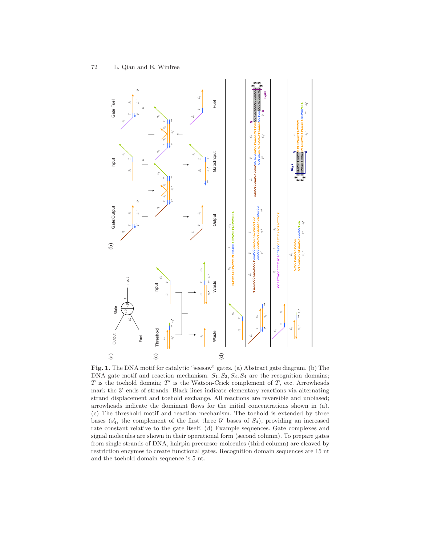

Fig. 1. The DNA motif for catalytic "seesaw" gates. (a) Abstract gate diagram. (b) The DNA gate motif and reaction mechanism.  $S_1, S_2, S_3, S_4$  are the recognition domains;  $T$  is the toehold domain;  $T'$  is the Watson-Crick complement of  $T$ , etc. Arrowheads mark the 3' ends of strands. Black lines indicate elementary reactions via alternating strand displacement and toehold exchange. All reactions are reversible and unbiased; arrowheads indicate the dominant flows for the initial concentrations shown in (a). (c) The threshold motif and reaction mechanism. The toehold is extended by three bases  $(s'_4,$  the complement of the first three 5' bases of  $S_4$ ), providing an increased rate constant relative to the gate itself. (d) Example sequences. Gate complexes and signal molecules are shown in their operational form (second column). To prepare gates from single strands of DNA, hairpin precursor molecules (third column) are cleaved by restriction enzymes to create functional gates. Recognition domain sequences are 15 nt and the toehold domain sequence is 5 nt.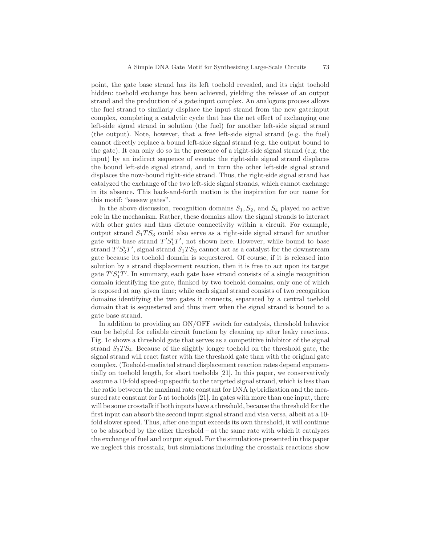point, the gate base strand has its left toehold revealed, and its right toehold hidden: toehold exchange has been achieved, yielding the release of an output strand and the production of a gate:input complex. An analogous process allows the fuel strand to similarly displace the input strand from the new gate:input complex, completing a catalytic cycle that has the net effect of exchanging one left-side signal strand in solution (the fuel) for another left-side signal strand (the output). Note, however, that a free left-side signal strand (e.g. the fuel) cannot directly replace a bound left-side signal strand (e.g. the output bound to the gate). It can only do so in the presence of a right-side signal strand (e.g. the input) by an indirect sequence of events: the right-side signal strand displaces the bound left-side signal strand, and in turn the other left-side signal strand displaces the now-bound right-side strand. Thus, the right-side signal strand has catalyzed the exchange of the two left-side signal strands, which cannot exchange in its absence. This back-and-forth motion is the inspiration for our name for this motif: "seesaw gates".

In the above discussion, recognition domains  $S_1, S_2$ , and  $S_4$  played no active role in the mechanism. Rather, these domains allow the signal strands to interact with other gates and thus dictate connectivity within a circuit. For example, output strand  $S_1TS_3$  could also serve as a right-side signal strand for another gate with base strand  $T'S'_1T'$ , not shown here. However, while bound to base strand  $T'S'_3T'$ , signal strand  $S_1TS_3$  cannot act as a catalyst for the downstream gate because its toehold domain is sequestered. Of course, if it is released into solution by a strand displacement reaction, then it is free to act upon its target gate  $T'S'_1T'$ . In summary, each gate base strand consists of a single recognition domain identifying the gate, flanked by two toehold domains, only one of which is exposed at any given time; while each signal strand consists of two recognition domains identifying the two gates it connects, separated by a central toehold domain that is sequestered and thus inert when the signal strand is bound to a gate base strand.

In addition to providing an ON/OFF switch for catalysis, threshold behavior can be helpful for reliable circuit function by cleaning up after leaky reactions. Fig. 1c shows a threshold gate that serves as a competitive inhibitor of the signal strand  $S_3TS_4$ . Because of the slightly longer toehold on the threshold gate, the signal strand will react faster with the threshold gate than with the original gate complex. (Toehold-mediated strand displacement reaction rates depend exponentially on toehold length, for short toeholds [21]. In this paper, we conservatively assume a 10-fold speed-up specific to the targeted signal strand, which is less than the ratio between the maximal rate constant for DNA hybridization and the measured rate constant for 5 nt toeholds [21]. In gates with more than one input, there will be some crosstalk if both inputs have a threshold, because the threshold forthe first input can absorb the second input signal strand and visa versa, albeit at a 10 fold slower speed. Thus, after one input exceeds its own threshold, it will continue to be absorbed by the other threshold – at the same rate with which it catalyzes the exchange of fuel and output signal. For the simulations presented in this paper we neglect this crosstalk, but simulations including the crosstalk reactions show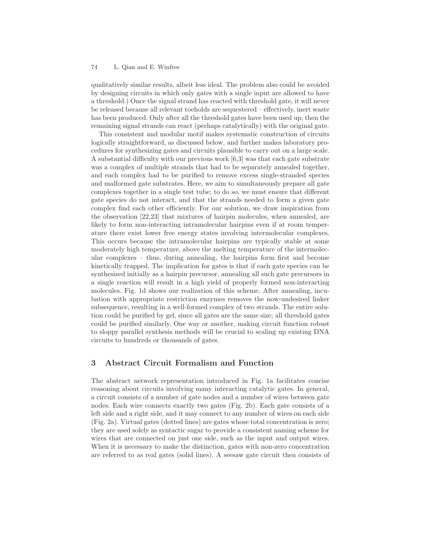qualitatively similar results, albeit less ideal. The problem also could be avoided by designing circuits in which only gates with a single input are allowed to have a threshold.) Once the signal strand has reacted with threshold gate, it will never be released because all relevant toeholds are sequestered – effectively, inert waste has been produced. Only after all the threshold gates have been used up, then the remaining signal strands can react (perhaps catalytically) with the original gate.

This consistent and modular motif makes systematic construction of circuits logically straightforward, as discussed below, and further makes laboratory procedures for synthesizing gates and circuits plausible to carry out on a large scale. A substantial difficulty with our previous work [6,3] was that each gate substrate was a complex of multiple strands that had to be separately annealed together, and each complex had to be purified to remove excess single-stranded species and malformed gate substrates. Here, we aim to simultaneously prepare all gate complexes together in a single test tube; to do so, we must ensure that different gate species do not interact, and that the strands needed to form a given gate complex find each other efficiently. For our solution, we draw inspiration from the observation [22,23] that mixtures of hairpin molecules, when annealed, are likely to form non-interacting intramolecular hairpins even if at room temperature there exist lower free energy states involving intermolecular complexes. This occurs because the intramolecular hairpins are typically stable at some moderately high temperature, above the melting temperature of the intermolecular complexes – thus, during annealing, the hairpins form first and become kinetically trapped. The implication for gates is that if each gate species can be synthesized initially as a hairpin precursor, annealing all such gate precursors in a single reaction will result in a high yield of properly formed non-interacting molecules. Fig. 1d shows our realization of this scheme. After annealing, incubation with appropriate restriction enzymes removes the now-undesired linker subsequence, resulting in a well-formed complex of two strands. The entire solution could be purified by gel, since all gates are the same size; all threshold gates could be purified similarly. One way or another, making circuit function robust to sloppy parallel synthesis methods will be crucial to scaling up existing DNA circuits to hundreds or thousands of gates.

# 3 Abstract Circuit Formalism and Function

The abstract network representation introduced in Fig. 1a facilitates concise reasoning about circuits involving many interacting catalytic gates. In general, a circuit consists of a number of gate nodes and a number of wires between gate nodes. Each wire connects exactly two gates (Fig. 2b). Each gate consists of a left side and a right side, and it may connect to any number of wires on each side (Fig. 2a). Virtual gates (dotted lines) are gates whose total concentration is zero; they are used solely as syntactic sugar to provide a consistent naming scheme for wires that are connected on just one side, such as the input and output wires. When it is necessary to make the distinction, gates with non-zero concentration are referred to as real gates (solid lines). A seesaw gate circuit then consists of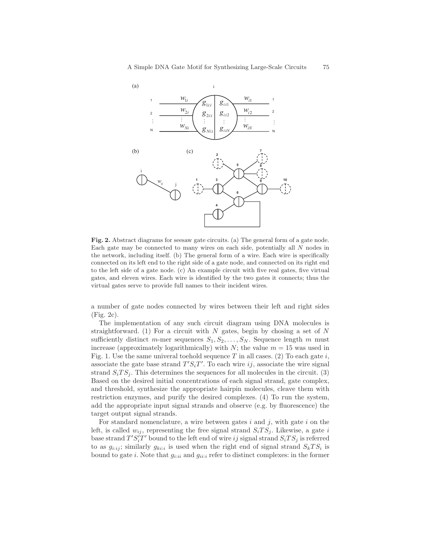

Fig. 2. Abstract diagrams for seesaw gate circuits. (a) The general form of a gate node. Each gate may be connected to many wires on each side, potentially all N nodes in the network, including itself. (b) The general form of a wire. Each wire is specifically connected on its left end to the right side of a gate node, and connected on its right end to the left side of a gate node. (c) An example circuit with five real gates, five virtual gates, and eleven wires. Each wire is identified by the two gates it connects; thus the virtual gates serve to provide full names to their incident wires.

a number of gate nodes connected by wires between their left and right sides (Fig. 2c).

The implementation of any such circuit diagram using DNA molecules is straightforward. (1) For a circuit with  $N$  gates, begin by chosing a set of  $N$ sufficiently distinct m-mer sequences  $S_1, S_2, \ldots, S_N$ . Sequence length m must increase (approximately logarithmically) with  $N$ ; the value  $m = 15$  was used in Fig. 1. Use the same univeral toehold sequence  $T$  in all cases. (2) To each gate  $i$ , associate the gate base strand  $T'S_iT'$ . To each wire ij, associate the wire signal strand  $S_iTS_j$ . This determines the sequences for all molecules in the circuit. (3) Based on the desired initial concentrations of each signal strand, gate complex, and threshold, synthesize the appropriate hairpin molecules, cleave them with restriction enzymes, and purify the desired complexes. (4) To run the system, add the appropriate input signal strands and observe (e.g. by fluorescence) the target output signal strands.

For standard nomenclature, a wire between gates  $i$  and  $j$ , with gate  $i$  on the left, is called  $w_{ij}$ , representing the free signal strand  $S_iTS_j$ . Likewise, a gate i base strand  $T'S_i'T'$  bound to the left end of wire ij signal strand  $S_iTS_j$  is referred to as  $g_{i:ij}$ ; similarly  $g_{ki:i}$  is used when the right end of signal strand  $S_kTS_i$  is bound to gate i. Note that  $g_{i:ii}$  and  $g_{ii:ii}$  refer to distinct complexes: in the former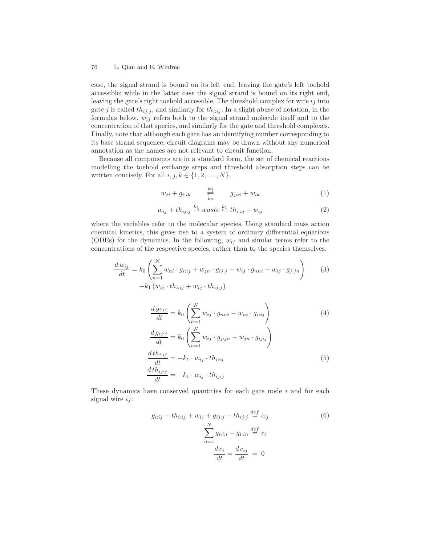case, the signal strand is bound on its left end, leaving the gate's left toehold accessible; while in the latter case the signal strand is bound on its right end, leaving the gate's right toehold accessible. The threshold complex for wire  $ij$  into gate j is called  $th_{ij:j}$ , and similarly for  $th_{i:ij}$ . In a slight abuse of notation, in the formulas below,  $w_{ij}$  refers both to the signal strand molecule itself and to the concentration of that species, and similarly for the gate and threshold complexes. Finally, note that although each gate has an identifying number corresponding to its base strand sequence, circuit diagrams may be drawn without any numerical annotation as the names are not relevant to circuit function.

Because all components are in a standard form, the set of chemical reactions modelling the toehold exchange steps and threshold absorption steps can be written concisely. For all  $i, j, k \in \{1, 2, ..., N\},\$ 

$$
w_{ji} + g_{i:ik} \qquad \frac{k_0}{k_0} \qquad g_{ji:i} + w_{ik} \tag{1}
$$

$$
w_{ij} + th_{ij:j} \stackrel{k_1}{\rightarrow} waste \stackrel{k_1}{\leftarrow} th_{i:ij} + w_{ij}
$$
 (2)

where the variables refer to the molecular species. Using standard mass action chemical kinetics, this gives rise to a system of ordinary differential equations (ODEs) for the dynamics. In the following,  $w_{ij}$  and similar terms refer to the concentrations of the respective species, rather than to the species themselves.

$$
\frac{d w_{ij}}{dt} = k_0 \left( \sum_{n=1}^{N} w_{ni} \cdot g_{i:ij} + w_{jn} \cdot g_{ij:j} - w_{ij} \cdot g_{ni:i} - w_{ij} \cdot g_{j:jn} \right) \tag{3}
$$

$$
-k_1 \left( w_{ij} \cdot th_{i:ij} + w_{ij} \cdot th_{ij:j} \right)
$$

$$
\frac{d g_{i:ij}}{dt} = k_0 \left( \sum_{n=1}^N w_{ij} \cdot g_{nii} - w_{ni} \cdot g_{i:ij} \right)
$$
\n
$$
\frac{d g_{ij:j}}{dt} = k_0 \left( \sum_{n=1}^N w_{ij} \cdot g_{j:j} - w_{jn} \cdot g_{ij:j} \right)
$$
\n
$$
\frac{d t h_{i:ij}}{dt} = -k_1 \cdot w_{ij} \cdot t h_{i:ij}
$$
\n
$$
\frac{d t h_{ij:j}}{dt} = -k_1 \cdot w_{ij} \cdot t h_{ij:j}
$$
\n(5)

These dynamics have conserved quantities for each gate node  $i$  and for each signal wire  $ii$ :

$$
g_{i:ij} - th_{i:ij} + w_{ij} + g_{ij:j} - th_{ij:j} \stackrel{def}{=} c_{ij}
$$
\n
$$
\sum_{n=1}^{N} g_{nii} + g_{i:in} \stackrel{def}{=} c_{i}
$$
\n
$$
\frac{d c_{i}}{dt} = \frac{d c_{ij}}{dt} = 0
$$
\n(6)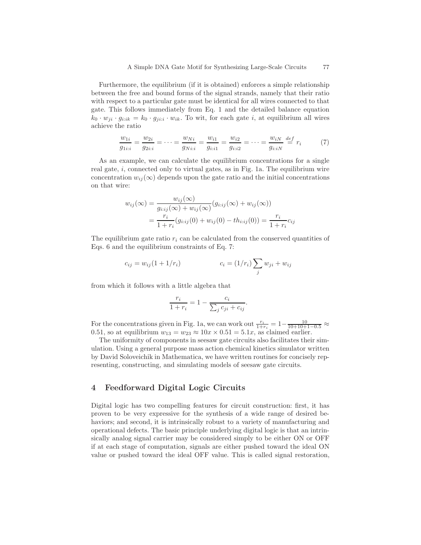Furthermore, the equilibrium (if it is obtained) enforces a simple relationship between the free and bound forms of the signal strands, namely that their ratio with respect to a particular gate must be identical for all wires connected to that gate. This follows immediately from Eq. 1 and the detailed balance equation  $k_0 \cdot w_{ji} \cdot g_{i:ik} = k_0 \cdot g_{ji:i} \cdot w_{ik}$ . To wit, for each gate i, at equilibrium all wires achieve the ratio

$$
\frac{w_{1i}}{g_{1i:i}} = \frac{w_{2i}}{g_{2i:i}} = \dots = \frac{w_{Ni}}{g_{Ni:i}} = \frac{w_{i1}}{g_{i:i1}} = \frac{w_{i2}}{g_{i:i2}} = \dots = \frac{w_{iN}}{g_{i:iN}} \stackrel{def}{=} r_i
$$
(7)

As an example, we can calculate the equilibrium concentrations for a single real gate,  $i$ , connected only to virtual gates, as in Fig. 1a. The equilibrium wire concentration  $w_{ij}(\infty)$  depends upon the gate ratio and the initial concentrations on that wire:

$$
w_{ij}(\infty) = \frac{w_{ij}(\infty)}{g_{i:ij}(\infty) + w_{ij}(\infty)} (g_{i:ij}(\infty) + w_{ij}(\infty))
$$
  
= 
$$
\frac{r_i}{1 + r_i} (g_{i:ij}(0) + w_{ij}(0) - th_{i:ij}(0)) = \frac{r_i}{1 + r_i} c_{ij}
$$

The equilibrium gate ratio  $r_i$  can be calculated from the conserved quantities of Eqs. 6 and the equilibrium constraints of Eq. 7:

$$
c_{ij} = w_{ij}(1 + 1/r_i)
$$
 
$$
c_i = (1/r_i) \sum_j w_{ji} + w_{ij}
$$

from which it follows with a little algebra that

$$
\frac{r_i}{1 + r_i} = 1 - \frac{c_i}{\sum_j c_{ji} + c_{ij}}.
$$

For the concentrations given in Fig. 1a, we can work out  $\frac{r_i}{1+r_i} = 1 - \frac{10}{10+10+1-0.5} \approx$ 0.51, so at equilibrium  $w_{13} = w_{23} \approx 10x \times 0.51 = 5.1x$ , as claimed earlier.

The uniformity of components in seesaw gate circuits also facilitates their simulation. Using a general purpose mass action chemical kinetics simulator written by David Soloveichik in Mathematica, we have written routines for concisely representing, constructing, and simulating models of seesaw gate circuits.

#### 4 Feedforward Digital Logic Circuits

Digital logic has two compelling features for circuit construction: first, it has proven to be very expressive for the synthesis of a wide range of desired behaviors; and second, it is intrinsically robust to a variety of manufacturing and operational defects. The basic principle underlying digital logic is that an intrinsically analog signal carrier may be considered simply to be either ON or OFF if at each stage of computation, signals are either pushed toward the ideal ON value or pushed toward the ideal OFF value. This is called signal restoration,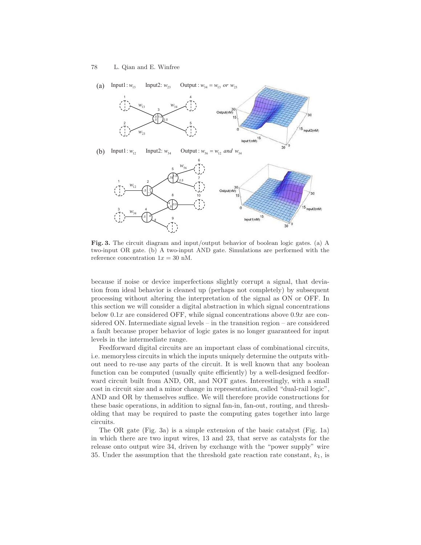

Fig. 3. The circuit diagram and input/output behavior of boolean logic gates. (a) A two-input OR gate. (b) A two-input AND gate. Simulations are performed with the reference concentration  $1x = 30$  nM.

because if noise or device imperfections slightly corrupt a signal, that deviation from ideal behavior is cleaned up (perhaps not completely) by subsequent processing without altering the interpretation of the signal as ON or OFF. In this section we will consider a digital abstraction in which signal concentrations below  $0.1x$  are considered OFF, while signal concentrations above  $0.9x$  are considered ON. Intermediate signal levels – in the transition region – are considered a fault because proper behavior of logic gates is no longer guaranteed for input levels in the intermediate range.

Feedforward digital circuits are an important class of combinational circuits, i.e. memoryless circuits in which the inputs uniquely determine the outputs without need to re-use any parts of the circuit. It is well known that any boolean function can be computed (usually quite efficiently) by a well-designed feedforward circuit built from AND, OR, and NOT gates. Interestingly, with a small cost in circuit size and a minor change in representation, called "dual-rail logic", AND and OR by themselves suffice. We will therefore provide constructions for these basic operations, in addition to signal fan-in, fan-out, routing, and thresholding that may be required to paste the computing gates together into large circuits.

The OR gate (Fig. 3a) is a simple extension of the basic catalyst (Fig. 1a) in which there are two input wires, 13 and 23, that serve as catalysts for the release onto output wire 34, driven by exchange with the "power supply" wire 35. Under the assumption that the threshold gate reaction rate constant,  $k_1$ , is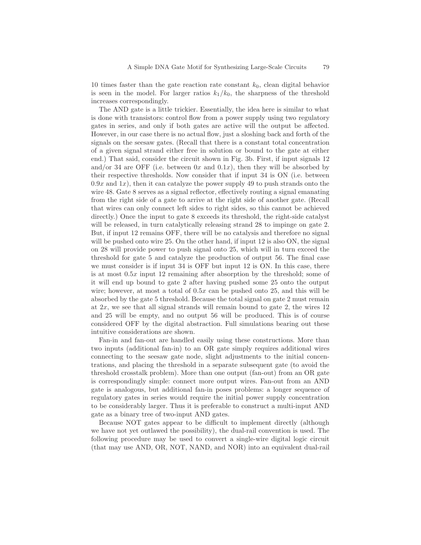10 times faster than the gate reaction rate constant  $k_0$ , clean digital behavior is seen in the model. For larger ratios  $k_1/k_0$ , the sharpness of the threshold increases correspondingly.

The AND gate is a little trickier. Essentially, the idea here is similar to what is done with transistors: control flow from a power supply using two regulatory gates in series, and only if both gates are active will the output be affected. However, in our case there is no actual flow, just a sloshing back and forth of the signals on the seesaw gates. (Recall that there is a constant total concentration of a given signal strand either free in solution or bound to the gate at either end.) That said, consider the circuit shown in Fig. 3b. First, if input signals 12 and/or 34 are OFF (i.e. between  $0x$  and  $0.1x$ ), then they will be absorbed by their respective thresholds. Now consider that if input 34 is ON (i.e. between  $0.9x$  and  $1x$ ), then it can catalyze the power supply 49 to push strands onto the wire 48. Gate 8 serves as a signal reflector, effectively routing a signal emanating from the right side of a gate to arrive at the right side of another gate. (Recall that wires can only connect left sides to right sides, so this cannot be achieved directly.) Once the input to gate 8 exceeds its threshold, the right-side catalyst will be released, in turn catalytically releasing strand 28 to impinge on gate 2. But, if input 12 remains OFF, there will be no catalysis and therefore no signal will be pushed onto wire 25. On the other hand, if input 12 is also ON, the signal on 28 will provide power to push signal onto 25, which will in turn exceed the threshold for gate 5 and catalyze the production of output 56. The final case we must consider is if input 34 is OFF but input 12 is ON. In this case, there is at most 0.5x input 12 remaining after absorption by the threshold; some of it will end up bound to gate 2 after having pushed some 25 onto the output wire; however, at most a total of  $0.5x$  can be pushed onto 25, and this will be absorbed by the gate 5 threshold. Because the total signal on gate 2 must remain at  $2x$ , we see that all signal strands will remain bound to gate 2, the wires 12 and 25 will be empty, and no output 56 will be produced. This is of course considered OFF by the digital abstraction. Full simulations bearing out these intuitive considerations are shown.

Fan-in and fan-out are handled easily using these constructions. More than two inputs (additional fan-in) to an OR gate simply requires additional wires connecting to the seesaw gate node, slight adjustments to the initial concentrations, and placing the threshold in a separate subsequent gate (to avoid the threshold crosstalk problem). More than one output (fan-out) from an OR gate is correspondingly simple: connect more output wires. Fan-out from an AND gate is analogous, but additional fan-in poses problems: a longer sequence of regulatory gates in series would require the initial power supply concentration to be considerably larger. Thus it is preferable to construct a multi-input AND gate as a binary tree of two-input AND gates.

Because NOT gates appear to be difficult to implement directly (although we have not yet outlawed the possibility), the dual-rail convention is used. The following procedure may be used to convert a single-wire digital logic circuit (that may use AND, OR, NOT, NAND, and NOR) into an equivalent dual-rail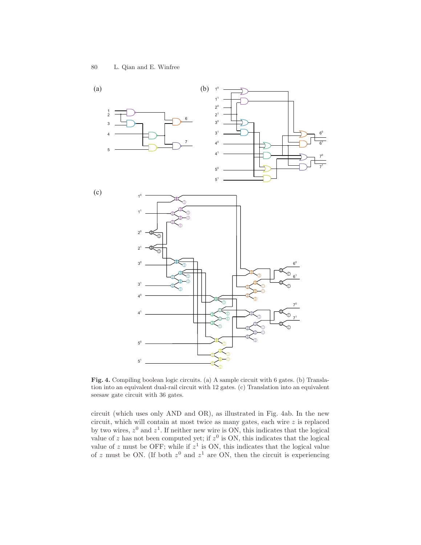

Fig. 4. Compiling boolean logic circuits. (a) A sample circuit with 6 gates. (b) Translation into an equivalent dual-rail circuit with 12 gates. (c) Translation into an equivalent seesaw gate circuit with 36 gates.

circuit (which uses only AND and OR), as illustrated in Fig. 4ab. In the new circuit, which will contain at most twice as many gates, each wire  $z$  is replaced by two wires,  $z^0$  and  $z^1$ . If neither new wire is ON, this indicates that the logical value of z has not been computed yet; if  $z<sup>0</sup>$  is ON, this indicates that the logical value of z must be OFF; while if  $z^1$  is ON, this indicates that the logical value of z must be ON. (If both  $z^0$  and  $z^1$  are ON, then the circuit is experiencing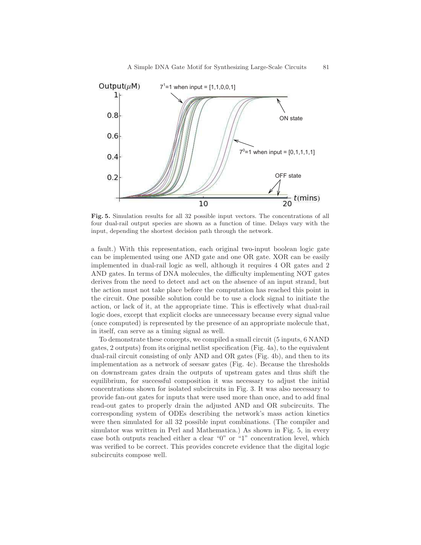

Fig. 5. Simulation results for all 32 possible input vectors. The concentrations of all four dual-rail output species are shown as a function of time. Delays vary with the input, depending the shortest decision path through the network.

a fault.) With this representation, each original two-input boolean logic gate can be implemented using one AND gate and one OR gate. XOR can be easily implemented in dual-rail logic as well, although it requires 4 OR gates and 2 AND gates. In terms of DNA molecules, the difficulty implementing NOT gates derives from the need to detect and act on the absence of an input strand, but the action must not take place before the computation has reached this point in the circuit. One possible solution could be to use a clock signal to initiate the action, or lack of it, at the appropriate time. This is effectively what dual-rail logic does, except that explicit clocks are unnecessary because every signal value (once computed) is represented by the presence of an appropriate molecule that, in itself, can serve as a timing signal as well.

To demonstrate these concepts, we compiled a small circuit (5 inputs, 6 NAND gates, 2 outputs) from its original netlist specification (Fig. 4a), to the equivalent dual-rail circuit consisting of only AND and OR gates (Fig. 4b), and then to its implementation as a network of seesaw gates (Fig. 4c). Because the thresholds on downstream gates drain the outputs of upstream gates and thus shift the equilibrium, for successful composition it was necessary to adjust the initial concentrations shown for isolated subcircuits in Fig. 3. It was also necessary to provide fan-out gates for inputs that were used more than once, and to add final read-out gates to properly drain the adjusted AND and OR subcircuits. The corresponding system of ODEs describing the network's mass action kinetics were then simulated for all 32 possible input combinations. (The compiler and simulator was written in Perl and Mathematica.) As shown in Fig. 5, in every case both outputs reached either a clear "0" or "1" concentration level, which was verified to be correct. This provides concrete evidence that the digital logic subcircuits compose well.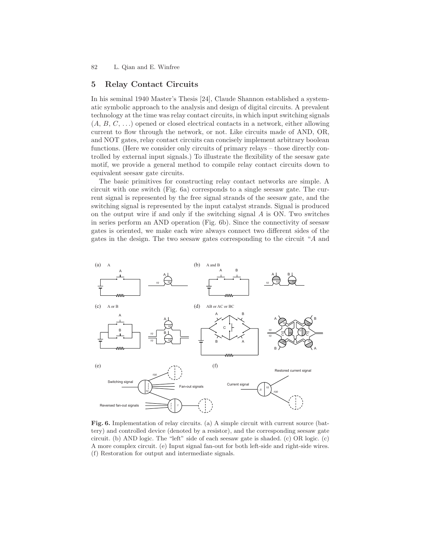#### 5 Relay Contact Circuits

In his seminal 1940 Master's Thesis [24], Claude Shannon established a systematic symbolic approach to the analysis and design of digital circuits. A prevalent technology at the time was relay contact circuits, in which input switching signals  $(A, B, C, \ldots)$  opened or closed electrical contacts in a network, either allowing current to flow through the network, or not. Like circuits made of AND, OR, and NOT gates, relay contact circuits can concisely implement arbitrary boolean functions. (Here we consider only circuits of primary relays – those directly controlled by external input signals.) To illustrate the flexibility of the seesaw gate motif, we provide a general method to compile relay contact circuits down to equivalent seesaw gate circuits.

The basic primitives for constructing relay contact networks are simple. A circuit with one switch (Fig. 6a) corresponds to a single seesaw gate. The current signal is represented by the free signal strands of the seesaw gate, and the switching signal is represented by the input catalyst strands. Signal is produced on the output wire if and only if the switching signal  $A$  is ON. Two switches in series perform an AND operation (Fig. 6b). Since the connectivity of seesaw gates is oriented, we make each wire always connect two different sides of the gates in the design. The two seesaw gates corresponding to the circuit "A and



Fig. 6. Implementation of relay circuits. (a) A simple circuit with current source (battery) and controlled device (denoted by a resistor), and the corresponding seesaw gate circuit. (b) AND logic. The "left" side of each seesaw gate is shaded. (c) OR logic. (c) A more complex circuit. (e) Input signal fan-out for both left-side and right-side wires. (f) Restoration for output and intermediate signals.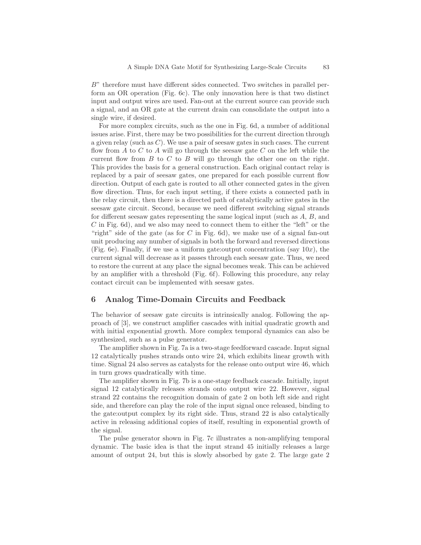B" therefore must have different sides connected. Two switches in parallel perform an OR operation (Fig. 6c). The only innovation here is that two distinct input and output wires are used. Fan-out at the current source can provide such a signal, and an OR gate at the current drain can consolidate the output into a single wire, if desired.

For more complex circuits, such as the one in Fig. 6d, a number of additional issues arise. First, there may be two possibilities for the current direction through a given relay (such as C). We use a pair of seesaw gates in such cases. The current flow from A to C to A will go through the seesaw gate C on the left while the current flow from  $B$  to  $C$  to  $B$  will go through the other one on the right. This provides the basis for a general construction. Each original contact relay is replaced by a pair of seesaw gates, one prepared for each possible current flow direction. Output of each gate is routed to all other connected gates in the given flow direction. Thus, for each input setting, if there exists a connected path in the relay circuit, then there is a directed path of catalytically active gates in the seesaw gate circuit. Second, because we need different switching signal strands for different seesaw gates representing the same logical input (such as A, B, and  $C$  in Fig. 6d), and we also may need to connect them to either the "left" or the "right" side of the gate (as for  $C$  in Fig. 6d), we make use of a signal fan-out unit producing any number of signals in both the forward and reversed directions (Fig. 6e). Finally, if we use a uniform gate: output concentration (say  $10x$ ), the current signal will decrease as it passes through each seesaw gate. Thus, we need to restore the current at any place the signal becomes weak. This can be achieved by an amplifier with a threshold (Fig. 6f). Following this procedure, any relay contact circuit can be implemented with seesaw gates.

## 6 Analog Time-Domain Circuits and Feedback

The behavior of seesaw gate circuits is intrinsically analog. Following the approach of [3], we construct amplifier cascades with initial quadratic growth and with initial exponential growth. More complex temporal dynamics can also be synthesized, such as a pulse generator.

The amplifier shown in Fig. 7a is a two-stage feedforward cascade. Input signal 12 catalytically pushes strands onto wire 24, which exhibits linear growth with time. Signal 24 also serves as catalysts for the release onto output wire 46, which in turn grows quadratically with time.

The amplifier shown in Fig. 7b is a one-stage feedback cascade. Initially, input signal 12 catalytically releases strands onto output wire 22. However, signal strand 22 contains the recognition domain of gate 2 on both left side and right side, and therefore can play the role of the input signal once released, binding to the gate:output complex by its right side. Thus, strand 22 is also catalytically active in releasing additional copies of itself, resulting in exponential growth of the signal.

The pulse generator shown in Fig. 7c illustrates a non-amplifying temporal dynamic. The basic idea is that the input strand 45 initially releases a large amount of output 24, but this is slowly absorbed by gate 2. The large gate 2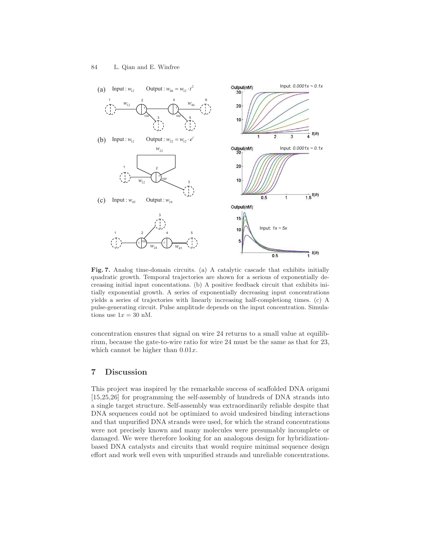

Fig. 7. Analog time-domain circuits. (a) A catalytic cascade that exhibits initially quadratic growth. Temporal trajectories are shown for a serious of exponentially decreasing initial input concentations. (b) A positive feedback circuit that exhibits initially exponential growth. A series of exponentially decreasing input concentrations yields a series of trajectories with linearly increasing half-completiong times. (c) A pulse-generating circuit. Pulse amplitude depends on the input concentration. Simulations use  $1x = 30$  nM.

concentration ensures that signal on wire 24 returns to a small value at equilibrium, because the gate-to-wire ratio for wire 24 must be the same as that for 23, which cannot be higher than  $0.01x$ .

# 7 Discussion

This project was inspired by the remarkable success of scaffolded DNA origami [15,25,26] for programming the self-assembly of hundreds of DNA strands into a single target structure. Self-assembly was extraordinarily reliable despite that DNA sequences could not be optimized to avoid undesired binding interactions and that unpurified DNA strands were used, for which the strand concentrations were not precisely known and many molecules were presumably incomplete or damaged. We were therefore looking for an analogous design for hybridizationbased DNA catalysts and circuits that would require minimal sequence design effort and work well even with unpurified strands and unreliable concentrations.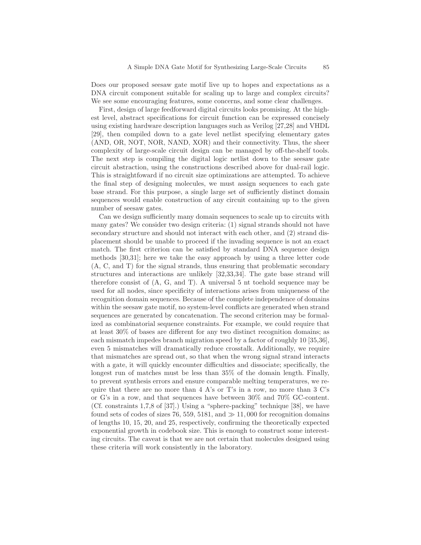Does our proposed seesaw gate motif live up to hopes and expectations as a DNA circuit component suitable for scaling up to large and complex circuits? We see some encouraging features, some concerns, and some clear challenges.

First, design of large feedforward digital circuits looks promising. At the highest level, abstract specifications for circuit function can be expressed concisely using existing hardware description languages such as Verilog [27,28] and VHDL [29], then compiled down to a gate level netlist specifying elementary gates (AND, OR, NOT, NOR, NAND, XOR) and their connectivity. Thus, the sheer complexity of large-scale circuit design can be managed by off-the-shelf tools. The next step is compiling the digital logic netlist down to the seesaw gate circuit abstraction, using the constructions described above for dual-rail logic. This is straightfoward if no circuit size optimizations are attempted. To achieve the final step of designing molecules, we must assign sequences to each gate base strand. For this purpose, a single large set of sufficiently distinct domain sequences would enable construction of any circuit containing up to the given number of seesaw gates.

Can we design sufficiently many domain sequences to scale up to circuits with many gates? We consider two design criteria: (1) signal strands should not have secondary structure and should not interact with each other, and  $(2)$  strand displacement should be unable to proceed if the invading sequence is not an exact match. The first criterion can be satisfied by standard DNA sequence design methods [30,31]; here we take the easy approach by using a three letter code (A, C, and T) for the signal strands, thus ensuring that problematic secondary structures and interactions are unlikely [32,33,34]. The gate base strand will therefore consist of (A, G, and T). A universal 5 nt toehold sequence may be used for all nodes, since specificity of interactions arises from uniqueness of the recognition domain sequences. Because of the complete independence of domains within the seesaw gate motif, no system-level conflicts are generated when strand sequences are generated by concatenation. The second criterion may be formalized as combinatorial sequence constraints. For example, we could require that at least 30% of bases are different for any two distinct recognition domains; as each mismatch impedes branch migration speed by a factor of roughly 10 [35,36], even 5 mismatches will dramatically reduce crosstalk. Additionally, we require that mismatches are spread out, so that when the wrong signal strand interacts with a gate, it will quickly encounter difficulties and dissociate; specifically, the longest run of matches must be less than 35% of the domain length. Finally, to prevent synthesis errors and ensure comparable melting temperatures, we require that there are no more than 4 A's or T's in a row, no more than 3 C's or G's in a row, and that sequences have between 30% and 70% GC-content. (Cf. constraints 1,7,8 of [37].) Using a "sphere-packing" technique [38], we have found sets of codes of sizes 76, 559, 5181, and  $\gg 11,000$  for recognition domains of lengths 10, 15, 20, and 25, respectively, confirming the theoretically expected exponential growth in codebook size. This is enough to construct some interesting circuits. The caveat is that we are not certain that molecules designed using these criteria will work consistently in the laboratory.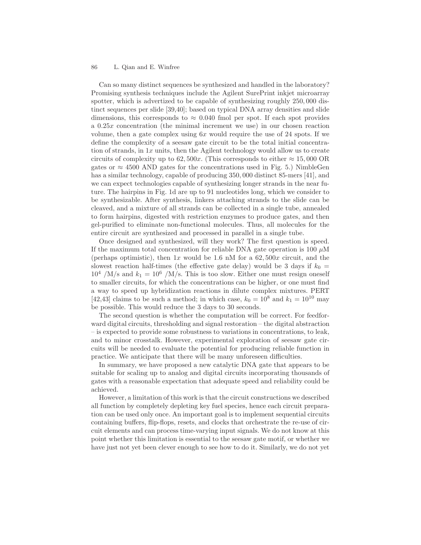Can so many distinct sequences be synthesized and handled in the laboratory? Promising synthesis techniques include the Agilent SurePrint inkjet microarray spotter, which is advertized to be capable of synthesizing roughly 250, 000 distinct sequences per slide [39,40]; based on typical DNA array densities and slide dimensions, this corresponds to  $\approx 0.040$  fmol per spot. If each spot provides a 0.25x concentration (the minimal increment we use) in our chosen reaction volume, then a gate complex using  $6x$  would require the use of 24 spots. If we define the complexity of a seesaw gate circuit to be the total initial concentration of strands, in 1x units, then the Agilent technology would allow us to create circuits of complexity up to 62, 500x. (This corresponds to either  $\approx 15,000$  OR gates or  $\approx 4500$  AND gates for the concentrations used in Fig. 5.) NimbleGen has a similar technology, capable of producing 350, 000 distinct 85-mers [41], and we can expect technologies capable of synthesizing longer strands in the near future. The hairpins in Fig. 1d are up to 91 nucleotides long, which we consider to be synthesizable. After synthesis, linkers attaching strands to the slide can be cleaved, and a mixture of all strands can be collected in a single tube, annealed to form hairpins, digested with restriction enzymes to produce gates, and then gel-purified to eliminate non-functional molecules. Thus, all molecules for the entire circuit are synthesized and processed in parallel in a single tube.

Once designed and synthesized, will they work? The first question is speed. If the maximum total concentration for reliable DNA gate operation is 100  $\mu$ M (perhaps optimistic), then  $1x$  would be 1.6 nM for a 62,500x circuit, and the slowest reaction half-times (the effective gate delay) would be 3 days if  $k_0 =$  $10^4$  /M/s and  $k_1 = 10^6$  /M/s. This is too slow. Either one must resign oneself to smaller circuits, for which the concentrations can be higher, or one must find a way to speed up hybridization reactions in dilute complex mixtures. PERT [42,43] claims to be such a method; in which case,  $k_0 = 10^8$  and  $k_1 = 10^{10}$  may be possible. This would reduce the 3 days to 30 seconds.

The second question is whether the computation will be correct. For feedforward digital circuits, thresholding and signal restoration – the digital abstraction – is expected to provide some robustness to variations in concentrations, to leak, and to minor crosstalk. However, experimental exploration of seesaw gate circuits will be needed to evaluate the potential for producing reliable function in practice. We anticipate that there will be many unforeseen difficulties.

In summary, we have proposed a new catalytic DNA gate that appears to be suitable for scaling up to analog and digital circuits incorporating thousands of gates with a reasonable expectation that adequate speed and reliability could be achieved.

However, a limitation of this work is that the circuit constructions we described all function by completely depleting key fuel species, hence each circuit preparation can be used only once. An important goal is to implement sequential circuits containing buffers, flip-flops, resets, and clocks that orchestrate the re-use of circuit elements and can process time-varying input signals. We do not know at this point whether this limitation is essential to the seesaw gate motif, or whether we have just not yet been clever enough to see how to do it. Similarly, we do not yet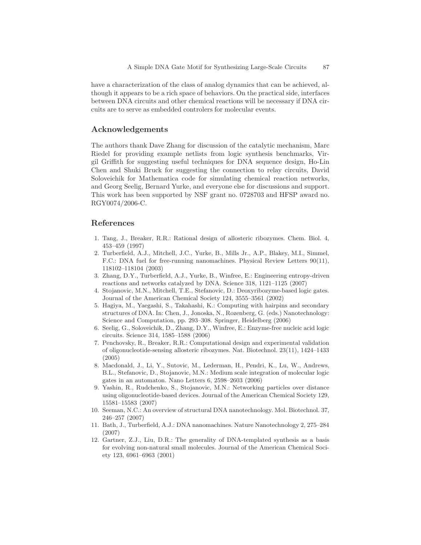have a characterization of the class of analog dynamics that can be achieved, although it appears to be a rich space of behaviors. On the practical side, interfaces between DNA circuits and other chemical reactions will be necessary if DNA circuits are to serve as embedded controlers for molecular events.

## Acknowledgements

The authors thank Dave Zhang for discussion of the catalytic mechanism, Marc Riedel for providing example netlists from logic synthesis benchmarks, Virgil Griffith for suggesting useful techniques for DNA sequence design, Ho-Lin Chen and Shuki Bruck for suggesting the connection to relay circuits, David Soloveichik for Mathematica code for simulating chemical reaction networks, and Georg Seelig, Bernard Yurke, and everyone else for discussions and support. This work has been supported by NSF grant no. 0728703 and HFSP award no. RGY0074/2006-C.

#### References

- 1. Tang, J., Breaker, R.R.: Rational design of allosteric ribozymes. Chem. Biol. 4, 453–459 (1997)
- 2. Turberfield, A.J., Mitchell, J.C., Yurke, B., Mills Jr., A.P., Blakey, M.I., Simmel, F.C.: DNA fuel for free-running nanomachines. Physical Review Letters 90(11), 118102–118104 (2003)
- 3. Zhang, D.Y., Turberfield, A.J., Yurke, B., Winfree, E.: Engineering entropy-driven reactions and networks catalyzed by DNA. Science 318, 1121–1125 (2007)
- 4. Stojanovic, M.N., Mitchell, T.E., Stefanovic, D.: Deoxyribozyme-based logic gates. Journal of the American Chemical Society 124, 3555–3561 (2002)
- 5. Hagiya, M., Yaegashi, S., Takahashi, K.: Computing with hairpins and secondary structures of DNA. In: Chen, J., Jonoska, N., Rozenberg, G. (eds.) Nanotechnology: Science and Computation, pp. 293–308. Springer, Heidelberg (2006)
- 6. Seelig, G., Soloveichik, D., Zhang, D.Y., Winfree, E.: Enzyme-free nucleic acid logic circuits. Science 314, 1585–1588 (2006)
- 7. Penchovsky, R., Breaker, R.R.: Computational design and experimental validation of oligonucleotide-sensing allosteric ribozymes. Nat. Biotechnol. 23(11), 1424–1433 (2005)
- 8. Macdonald, J., Li, Y., Sutovic, M., Lederman, H., Pendri, K., Lu, W., Andrews, B.L., Stefanovic, D., Stojanovic, M.N.: Medium scale integration of molecular logic gates in an automaton. Nano Letters 6, 2598–2603 (2006)
- 9. Yashin, R., Rudchenko, S., Stojanovic, M.N.: Networking particles over distance using oligonucleotide-based devices. Journal of the American Chemical Society 129, 15581–15583 (2007)
- 10. Seeman, N.C.: An overview of structural DNA nanotechnology. Mol. Biotechnol. 37, 246–257 (2007)
- 11. Bath, J., Turberfield, A.J.: DNA nanomachines. Nature Nanotechnology 2, 275–284 (2007)
- 12. Gartner, Z.J., Liu, D.R.: The generality of DNA-templated synthesis as a basis for evolving non-natural small molecules. Journal of the American Chemical Society 123, 6961–6963 (2001)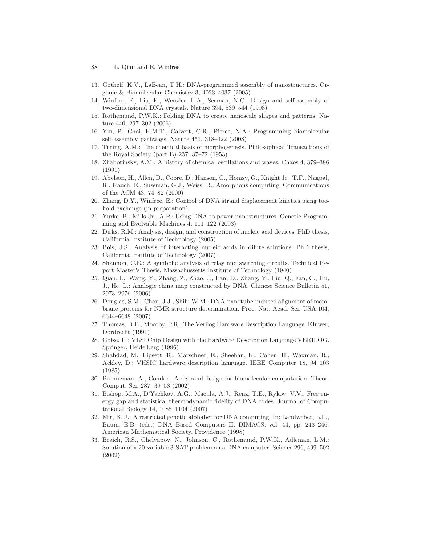- 88 L. Qian and E. Winfree
- 13. Gothelf, K.V., LaBean, T.H.: DNA-programmed assembly of nanostructures. Organic & Biomolecular Chemistry 3, 4023–4037 (2005)
- 14. Winfree, E., Liu, F., Wenzler, L.A., Seeman, N.C.: Design and self-assembly of two-dimensional DNA crystals. Nature 394, 539–544 (1998)
- 15. Rothemund, P.W.K.: Folding DNA to create nanoscale shapes and patterns. Nature 440, 297–302 (2006)
- 16. Yin, P., Choi, H.M.T., Calvert, C.R., Pierce, N.A.: Programming biomolecular self-assembly pathways. Nature 451, 318–322 (2008)
- 17. Turing, A.M.: The chemical basis of morphogenesis. Philosophical Transactions of the Royal Society (part B) 237, 37–72 (1953)
- 18. Zhabotinsky, A.M.: A history of chemical oscillations and waves. Chaos 4, 379–386 (1991)
- 19. Abelson, H., Allen, D., Coore, D., Hanson, C., Homsy, G., Knight Jr., T.F., Nagpal, R., Rauch, E., Sussman, G.J., Weiss, R.: Amorphous computing. Communications of the ACM 43, 74–82 (2000)
- 20. Zhang, D.Y., Winfree, E.: Control of DNA strand displacement kinetics using toehold exchange (in preparation)
- 21. Yurke, B., Mills Jr., A.P.: Using DNA to power nanostructures. Genetic Programming and Evolvable Machines 4, 111–122 (2003)
- 22. Dirks, R.M.: Analysis, design, and construction of nucleic acid devices. PhD thesis, California Institute of Technology (2005)
- 23. Bois, J.S.: Analysis of interacting nucleic acids in dilute solutions. PhD thesis, California Institute of Technology (2007)
- 24. Shannon, C.E.: A symbolic analysis of relay and switching circuits. Technical Report Master's Thesis, Massachussetts Institute of Technology (1940)
- 25. Qian, L., Wang, Y., Zhang, Z., Zhao, J., Pan, D., Zhang, Y., Liu, Q., Fan, C., Hu, J., He, L.: Analogic china map constructed by DNA. Chinese Science Bulletin 51, 2973–2976 (2006)
- 26. Douglas, S.M., Chou, J.J., Shih, W.M.: DNA-nanotube-induced alignment of membrane proteins for NMR structure determination. Proc. Nat. Acad. Sci. USA 104, 6644–6648 (2007)
- 27. Thomas, D.E., Moorby, P.R.: The Verilog Hardware Description Language. Kluwer, Dordrecht (1991)
- 28. Golze, U.: VLSI Chip Design with the Hardware Description Language VERILOG. Springer, Heidelberg (1996)
- 29. Shahdad, M., Lipsett, R., Marschner, E., Sheehan, K., Cohen, H., Waxman, R., Ackley, D.: VHSIC hardware description language. IEEE Computer 18, 94–103 (1985)
- 30. Brenneman, A., Condon, A.: Strand design for biomolecular computation. Theor. Comput. Sci. 287, 39–58 (2002)
- 31. Bishop, M.A., D'Yachkov, A.G., Macula, A.J., Renz, T.E., Rykov, V.V.: Free energy gap and statistical thermodynamic fidelity of DNA codes. Journal of Computational Biology 14, 1088–1104 (2007)
- 32. Mir, K.U.: A restricted genetic alphabet for DNA computing. In: Landweber, L.F., Baum, E.B. (eds.) DNA Based Computers II. DIMACS, vol. 44, pp. 243–246. American Mathematical Society, Providence (1998)
- 33. Braich, R.S., Chelyapov, N., Johnson, C., Rothemund, P.W.K., Adleman, L.M.: Solution of a 20-variable 3-SAT problem on a DNA computer. Science 296, 499–502 (2002)